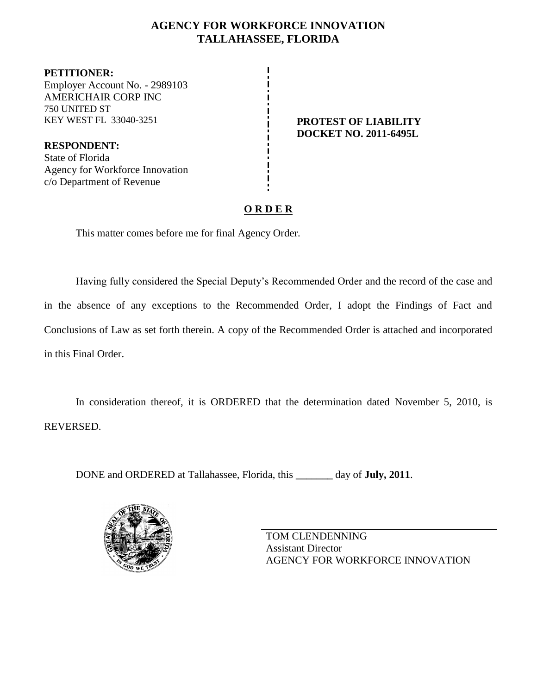## **AGENCY FOR WORKFORCE INNOVATION TALLAHASSEE, FLORIDA**

**PETITIONER:** Employer Account No. - 2989103 AMERICHAIR CORP INC 750 UNITED ST KEY WEST FL 33040-3251 **PROTEST OF LIABILITY**

**RESPONDENT:** State of Florida Agency for Workforce Innovation c/o Department of Revenue

**DOCKET NO. 2011-6495L**

## **O R D E R**

This matter comes before me for final Agency Order.

Having fully considered the Special Deputy's Recommended Order and the record of the case and in the absence of any exceptions to the Recommended Order, I adopt the Findings of Fact and Conclusions of Law as set forth therein. A copy of the Recommended Order is attached and incorporated in this Final Order.

In consideration thereof, it is ORDERED that the determination dated November 5, 2010, is REVERSED.

DONE and ORDERED at Tallahassee, Florida, this **\_\_\_\_\_\_\_** day of **July, 2011**.



TOM CLENDENNING Assistant Director AGENCY FOR WORKFORCE INNOVATION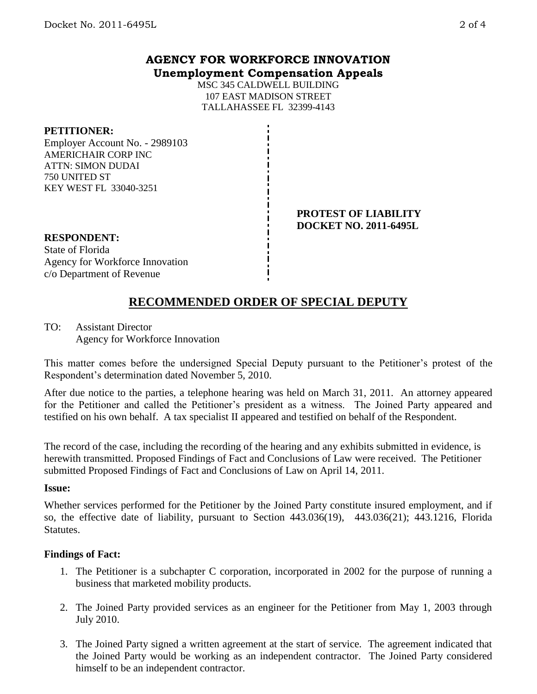### **AGENCY FOR WORKFORCE INNOVATION Unemployment Compensation Appeals**

MSC 345 CALDWELL BUILDING 107 EAST MADISON STREET TALLAHASSEE FL 32399-4143

### **PETITIONER:**

Employer Account No. - 2989103 AMERICHAIR CORP INC ATTN: SIMON DUDAI 750 UNITED ST KEY WEST FL 33040-3251

#### **PROTEST OF LIABILITY DOCKET NO. 2011-6495L**

## **RESPONDENT:**

State of Florida Agency for Workforce Innovation c/o Department of Revenue

# **RECOMMENDED ORDER OF SPECIAL DEPUTY**

TO: Assistant Director Agency for Workforce Innovation

This matter comes before the undersigned Special Deputy pursuant to the Petitioner's protest of the Respondent's determination dated November 5, 2010.

After due notice to the parties, a telephone hearing was held on March 31, 2011. An attorney appeared for the Petitioner and called the Petitioner's president as a witness. The Joined Party appeared and testified on his own behalf. A tax specialist II appeared and testified on behalf of the Respondent.

The record of the case, including the recording of the hearing and any exhibits submitted in evidence, is herewith transmitted. Proposed Findings of Fact and Conclusions of Law were received. The Petitioner submitted Proposed Findings of Fact and Conclusions of Law on April 14, 2011.

### **Issue:**

Whether services performed for the Petitioner by the Joined Party constitute insured employment, and if so, the effective date of liability, pursuant to Section 443.036(19), 443.036(21); 443.1216, Florida Statutes.

### **Findings of Fact:**

- 1. The Petitioner is a subchapter C corporation, incorporated in 2002 for the purpose of running a business that marketed mobility products.
- 2. The Joined Party provided services as an engineer for the Petitioner from May 1, 2003 through July 2010.
- 3. The Joined Party signed a written agreement at the start of service. The agreement indicated that the Joined Party would be working as an independent contractor. The Joined Party considered himself to be an independent contractor.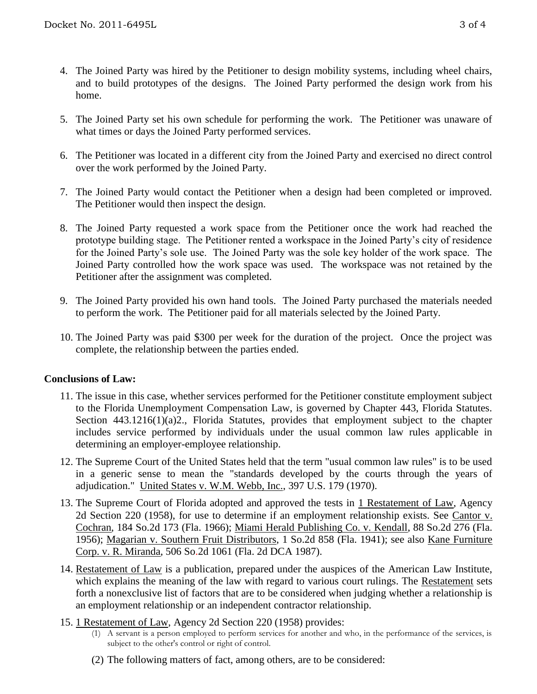- 4. The Joined Party was hired by the Petitioner to design mobility systems, including wheel chairs, and to build prototypes of the designs. The Joined Party performed the design work from his home.
- 5. The Joined Party set his own schedule for performing the work. The Petitioner was unaware of what times or days the Joined Party performed services.
- 6. The Petitioner was located in a different city from the Joined Party and exercised no direct control over the work performed by the Joined Party.
- 7. The Joined Party would contact the Petitioner when a design had been completed or improved. The Petitioner would then inspect the design.
- 8. The Joined Party requested a work space from the Petitioner once the work had reached the prototype building stage. The Petitioner rented a workspace in the Joined Party's city of residence for the Joined Party's sole use. The Joined Party was the sole key holder of the work space. The Joined Party controlled how the work space was used. The workspace was not retained by the Petitioner after the assignment was completed.
- 9. The Joined Party provided his own hand tools. The Joined Party purchased the materials needed to perform the work. The Petitioner paid for all materials selected by the Joined Party.
- 10. The Joined Party was paid \$300 per week for the duration of the project. Once the project was complete, the relationship between the parties ended.

### **Conclusions of Law:**

- 11. The issue in this case, whether services performed for the Petitioner constitute employment subject to the Florida Unemployment Compensation Law, is governed by Chapter 443, Florida Statutes. Section 443.1216(1)(a)2., Florida Statutes, provides that employment subject to the chapter includes service performed by individuals under the usual common law rules applicable in determining an employer-employee relationship.
- 12. The Supreme Court of the United States held that the term "usual common law rules" is to be used in a generic sense to mean the "standards developed by the courts through the years of adjudication." United States v. W.M. Webb, Inc., 397 U.S. 179 (1970).
- 13. The Supreme Court of Florida adopted and approved the tests in 1 Restatement of Law, Agency 2d Section 220 (1958), for use to determine if an employment relationship exists. See Cantor v. Cochran, 184 So.2d 173 (Fla. 1966); Miami Herald Publishing Co. v. Kendall, 88 So.2d 276 (Fla. 1956); Magarian v. Southern Fruit Distributors, 1 So.2d 858 (Fla. 1941); see also Kane Furniture Corp. v. R. Miranda, 506 So.2d 1061 (Fla. 2d DCA 1987).
- 14. Restatement of Law is a publication, prepared under the auspices of the American Law Institute, which explains the meaning of the law with regard to various court rulings. The Restatement sets forth a nonexclusive list of factors that are to be considered when judging whether a relationship is an employment relationship or an independent contractor relationship.
- 15. 1 Restatement of Law, Agency 2d Section 220 (1958) provides:
	- (1) A servant is a person employed to perform services for another and who, in the performance of the services, is subject to the other's control or right of control.
	- (2) The following matters of fact, among others, are to be considered: